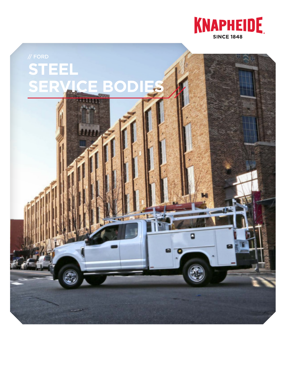

# **STEEL SERVICE BODIES**

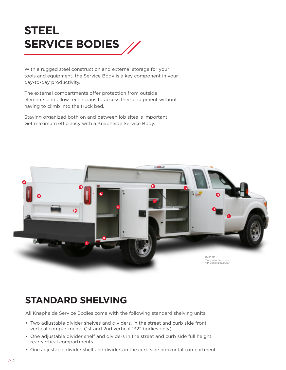

With a rugged steel construction and external storage for your tools and equipment, the Service Body is a key component in your day-to-day productivity.

The external compartments offer protection from outside elements and allow technicians to access their equipment without having to climb into the truck bed.

Staying organized both on and between job sites is important. Get maximum efficiency with a Knapheide Service Body.



#### **STANDARD SHELVING**

All Knapheide Service Bodies come with the following standard shelving units:

- Two adjustable divider shelves and dividers, in the street and curb side front vertical compartments (1st and 2nd vertical 132" bodies only)
- One adjustable divider shelf and dividers in the street and curb side full height rear vertical compartments
- One adjustable divider shelf and dividers in the curb side horizontal compartment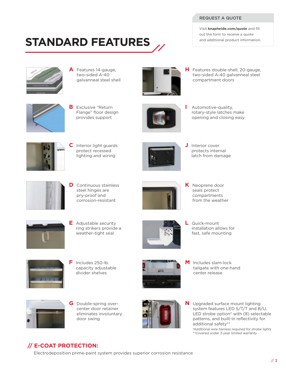#### REQUEST A QUOTE

Visit **knapheide.com/quote** and fill out the form to receive a quote and additional product information.

### **STANDARD FEATURES**



**A** Features 14-gauge, two-sided A-40 galvanneal steel shell



**H** Features double-shell, 20-gauge, two-sided A-40 galvanneal steel compartment doors



**B** Exclusive "Return Flange" floor design provides support



**I** Automotive-quality, rotary-style latches make opening and closing easy



**C** Interior light guards protect recessed lighting and wiring



**J** Interior cover protects internal latch from damage



**D** Continuous stainless steel hinges are pry-proof and corrosion-resistant



**K** Neoprene door seals protect compartments from the weather



**E** Adjustable security ring strikers provide a weather-tight seal



**L** Quick-mount installation allows for fast, safe mounting



**F** Includes 250-lb. capacity adjustable divider shelves



**M** Includes slam-lock tailgate with one-hand center release



**G** Double-spring overcenter door retainer eliminates involuntary door swing



**N** Upgraded surface mount lighting system features LED S/T/T and B/U, LED strobe option<sup>\*</sup> with (8) selectable patterns, and built-in reflectivity for additional safety\*\*

 \*Additional wire harness required for strobe lights \*\*Covered under 3-year limited warranty

#### **// E-COAT PROTECTION:**

Electrodeposition prime-paint system provides superior corrosion resistance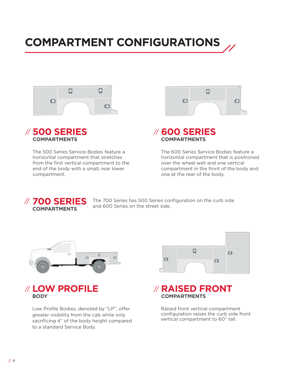## **COMPARTMENT CONFIGURATIONS**





The 500 Series Service Bodies feature a horizontal compartment that stretches from the first vertical compartment to the end of the body with a small, rear lower compartment.



#### **600 SERIES**  // **COMPARTMENTS**

The 600 Series Service Bodies feature a horizontal compartment that is positioned over the wheel well and one vertical compartment in the front of the body and one at the rear of the body.



The 700 Series has 500 Series configuration on the curb side and 600 Series on the street side.





Low Profile Bodies, denoted by "LP", offer greater visibility from the cab while only sacrificing 4" of the body height compared to a standard Service Body.



#### **RAISED FRONT** // **COMPARTMENTS**

Raised front vertical compartment configuration raises the curb side front vertical compartment to 60" tall.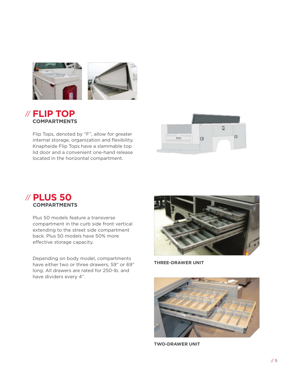

#### **FLIP TOP** // **COMPARTMENTS**

Flip Tops, denoted by "F", allow for greater internal storage, organization and flexibility. Knapheide Flip Tops have a slammable top lid door and a convenient one-hand release located in the horizontal compartment.



#### **PLUS 50** // **COMPARTMENTS**

Plus 50 models feature a transverse compartment in the curb side front vertical extending to the street side compartment back. Plus 50 models have 50% more effective storage capacity.

Depending on body model, compartments have either two or three drawers, 59" or 69" long. All drawers are rated for 250-lb. and have dividers every 4".



**THREE-DRAWER UNIT**



**TWO-DRAWER UNIT**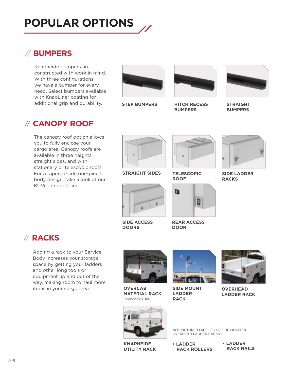### **POPULAR OPTIONS**

#### // **BUMPERS**

Knapheide bumpers are constructed with work in mind. With three configurations, we have a bumper for every need. Select bumpers available with KnapLiner coating for additional grip and durability.

#### // **CANOPY ROOF**

The canopy roof option allows you to fully enclose your cargo area. Canopy roofs are available in three heights, straight sides, and with stationary or telescopic roofs. For a tapered-side one-piece body design, take a look at our KUVcc product line.



**STEP BUMPERS HITCH RECESS** 



**BUMPERS**



**STRAIGHT BUMPERS**



**STRAIGHT SIDES**



**TELESCOPIC ROOF**



**REAR ACCESS DOOR**



**SIDE LADDER RACKS**



**SIDE ACCESS DOORS**



Adding a rack to your Service Body increases your storage space by getting your ladders and other long tools or equipment up and out of the way, making room to haul more items in your cargo area.



**OVERCAB MATERIAL RACK** (KARGO MASTER)



**SIDE MOUNT LADDER RACK**



**OVERHEAD LADDER RACK**



**KNAPHEIDE UTILITY RACK**

NOT PICTURED (APPLIES TO SIDE MOUNT & OVERHEAD LADDER RACKS):

**• LADDER RACK ROLLERS**

**• LADDER RACK RAILS**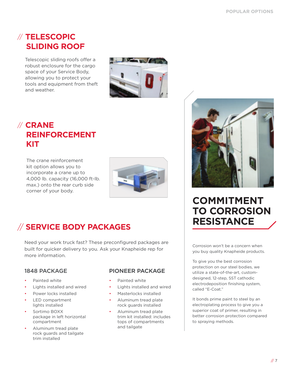#### // **TELESCOPIC SLIDING ROOF**

Telescopic sliding roofs offer a robust enclosure for the cargo space of your Service Body, allowing you to protect your tools and equipment from theft and weather.



#### // **CRANE REINFORCEMENT KIT**

The crane reinforcement kit option allows you to incorporate a crane up to 4,000 lb. capacity (16,000 ft-lb. max.) onto the rear curb side corner of your body.



#### // **SERVICE BODY PACKAGES**

Need your work truck fast? These preconfigured packages are built for quicker delivery to you. Ask your Knapheide rep for more information.

- Painted white
- Lights installed and wired
- Power locks installed
- LED compartment lights installed
- Sortimo BOXX package in left horizontal compartment
- Aluminum tread plate rock guards and tailgate trim installed

#### 1848 PACKAGE PIONEER PACKAGE

- Painted white
- Lights installed and wired
- Masterlocks installed
- Aluminum tread plate rock guards installed
- Aluminum tread plate trim kit installed: includes tops of compartments and tailgate



#### **COMMITMENT TO CORROSION RESISTANCE**

Corrosion won't be a concern when you buy quality Knapheide products.

To give you the best corrosion protection on our steel bodies, we utilize a state-of-the-art, customdesigned, 12-step, SST cathodic electrodeposition finishing system, called "E-Coat."

It bonds prime paint to steel by an electroplating process to give you a superior coat of primer, resulting in better corrosion protection compared to spraying methods.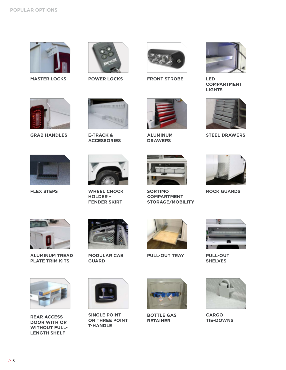





**MASTER LOCKS POWER LOCKS LED FRONT STROBE**



**COMPARTMENT LIGHTS**



**GRAB HANDLES**



**E-TRACK & ACCESSORIES**



**ALUMINUM STEEL DRAWERS DRAWERS**



**STORAGE/MOBILITY**





**FLEX STEPS**



**HOLDER – FENDER SKIRT**





**ALUMINUM TREAD PLATE TRIM KITS**



**MODULAR CAB GUARD**



**PULL-OUT TRAY PULL-OUT** 







**REAR ACCESS DOOR WITH OR WITHOUT FULL-LENGTH SHELF**



**SINGLE POINT OR THREE POINT T-HANDLE**



**BOTTLE GAS RETAINER**



**CARGO TIE-DOWNS**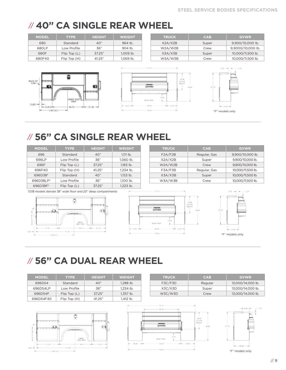### // **40" CA SINGLE REAR WHEEL**

|                        | <b>MODEL</b>         | <b>TYPE</b> | <b>HEIGHT</b> | <b>WEIGHT</b> |
|------------------------|----------------------|-------------|---------------|---------------|
|                        | Standard<br>680      |             | 40"           | $964$ lb.     |
|                        | 680LP                | Low Profile | 36"           | 904 lb.       |
|                        | Flip Top (L)<br>680F |             | 3725"         | $1.009$ lb.   |
| Flip Top (H)<br>680F40 |                      | 41 25"      | 1.069 lb.     |               |









#### // **56" CA SINGLE REAR WHEEL**

|                                                 | <b>MODEL</b>           | <b>TYPE</b> | <b>HEIGHT</b> | <b>WEIGHT</b> |
|-------------------------------------------------|------------------------|-------------|---------------|---------------|
|                                                 | 696                    | Standard    | 40"           | $1,111$ lb.   |
|                                                 | 696LP                  | Low Profile | 36"           | 1,060 lb.     |
|                                                 | Flip Top (L)<br>696F   |             | 37.25"        | 1,183 lb.     |
|                                                 | Flip Top (H)<br>696F40 |             | 41.25"        | 1.234 lb.     |
| 696D38*<br>Standard<br>696D38LP*<br>Low Profile |                        | 40"         | $1.153$ lb.   |               |
|                                                 |                        | 36"         | 1.100 lb.     |               |
|                                                 | 696D38F*               | Flip Top(L) | 37.25"        | 1.223 lb.     |

| <b>TRUCK</b> | <b>CAB</b>   | <b>GVWR</b>       |
|--------------|--------------|-------------------|
| F2A/F2B      | Regular, Gas | 9,900/10,000 lb.  |
| X2A/X2B      | Super        | 9,900/10,000 lb.  |
| W2A/W2B      | Crew         | 9,900/10,000 lb.  |
| F3A/F3B      | Regular, Gas | 10,000/11,500 lb. |
| X3A/X3B      | Super        | 10,000/11,500 lb. |
| W3A/W3B      | Crew         | 10,000/11,500 lb. |

\*D38 models denote 38" wide floor and 20" deep compartments







#### // **56" CA DUAL REAR WHEEL**

| <b>MODEL</b> | <b>TYPE</b>  | <b>HEIGHT</b> | <b>WEIGHT</b> | <b>TRUCK</b> | <b>CAB</b> | <b>GVWR</b>       |
|--------------|--------------|---------------|---------------|--------------|------------|-------------------|
| 696D54       | Standard     | 40"           | 1.288 lb.     | F3C/F3D      | Regular    | 13,000/14,000 lb. |
| 696D54LP     | Low Profile  | 36"           | 1.234 lb.     | X3C/X3D      | Super      | 13,000/14,000 lb. |
| 696D54F      | Flip Top (L) | 37.25"        | 1.357 lb.     | W3C/W3D      | Crew       | 13,000/14,000 lb. |
| 696D54F40    | Flip Top (H) | 41.25"        | 1.412 lb.     |              |            |                   |





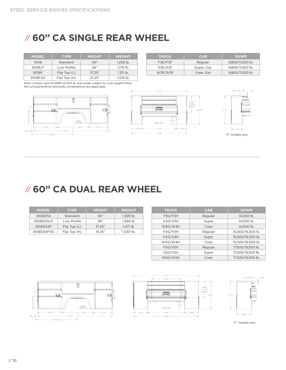#### // **60" CA SINGLE REAR WHEEL**

| <b>MODEL</b> | <b>TYPE</b>  | <b>HEIGHT</b> | <b>WEIGHT</b> |
|--------------|--------------|---------------|---------------|
| 6108         | Standard     | 40"           | $1.238$ lb.   |
| 6108LP       | Low Profile  | 36"           | 1,176 lb.     |
| 6108F        | Flip Top (L) | 37.25"        | $1.311$ lb.   |
| 6108F40      | Flip Top (H) | 41.25"        | 1.374 lb.     |

| <b>TRUCK</b> | <b>CAB</b> | <b>GVWR</b>      |  |
|--------------|------------|------------------|--|
| F3E/F3F      | Regular    | 9,800/11,500 lb. |  |
| X3E/X3F      | Super, Gas | 9,800/11,500 lb. |  |
| W3E/W3F      | Crew, Gas  | 9,800/11,500 lb. |  |

Note: Chassis with GVWRR 10,000 lb. and under subject to curb weight limits. Not all engine/drive and body combinations are applicable.







#### // **60" CA DUAL REAR WHEEL**

| <b>MODEL</b> | <b>TYPE</b>  | <b>HEIGHT</b> | <b>WEIGHT</b> |
|--------------|--------------|---------------|---------------|
| 6108D54      | Standard     | 40"           | $1.399$ lb.   |
| 6108D54LP    | Low Profile  | 36"           | $1.366$ lb.   |
| 6108D54F     | Flip Top (L) | 37.25"        | $1.471$ lb.   |
| 6108D54F40   | Flip Top (H) | 41 25"        | 1.530 lb.     |

| <b>TRUCK</b> | <b>CAB</b> | <b>GVWR</b>       |
|--------------|------------|-------------------|
| F3G/F3H      | Regular    | 14.000 lb.        |
| X3G/X3H      | Super      | 14.000 lb.        |
| W3G/W3H      | Crew       | 14.000 lb.        |
| F4G/F4H      | Regular    | 15,000/16,500 lb. |
| X4G/X4H      | Super      | 15,000/16,500 lb. |
| W4G/W4H      | Crew       | 15,000/16,500 lb. |
| F5G/X5H      | Regular    | 17,500/19,500 lb. |
| X5G/X5H      | Super      | 17,500/19,500 lb. |
| W5G/W5H      | Crew       | 17,500/19,500 lb. |







"F" models only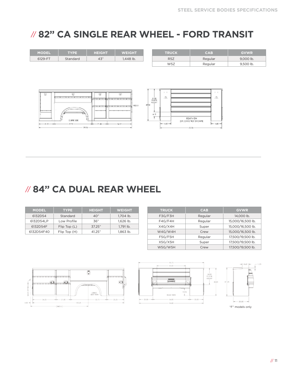#### // **82" CA SINGLE REAR WHEEL - FORD TRANSIT**

| <b>MODEL</b> | <b>TYPE</b>                                                                          | <b>HEIGHT</b>                                      | <b>WEIGHT</b>                         |        | <b>TRUCK</b>                   | <b>CAB</b>                               | <b>GVWR</b> |
|--------------|--------------------------------------------------------------------------------------|----------------------------------------------------|---------------------------------------|--------|--------------------------------|------------------------------------------|-------------|
| 6129-FT      | Standard                                                                             | 43"                                                | 1,448 lb.                             |        | R <sub>5</sub> Z               | Regular                                  | 9,000 lb.   |
|              |                                                                                      |                                                    |                                       |        | W5Z                            | Regular                                  | 9,500 lb.   |
|              |                                                                                      |                                                    |                                       |        |                                |                                          |             |
|              |                                                                                      |                                                    |                                       |        |                                |                                          |             |
|              |                                                                                      |                                                    |                                       |        |                                |                                          |             |
|              |                                                                                      |                                                    |                                       |        |                                |                                          |             |
|              |                                                                                      |                                                    |                                       |        | 1.1                            | $1 - 1$                                  |             |
| 剔            | 砂<br>and and an international particle of the column description of an international | 02<br>and the property of the contract of the con- | $\odot$                               |        | Ю,                             | Ø,                                       |             |
|              |                                                                                      |                                                    |                                       |        | $\frac{2128}{0.0028}$<br>Highl |                                          |             |
|              |                                                                                      |                                                    | come arrange processes comes and very | 43 Tel |                                |                                          |             |
| ----         |                                                                                      |                                                    |                                       |        | 6.3                            |                                          |             |
|              | 0.88.106                                                                             |                                                    |                                       |        |                                | <b>PEAR VIEW</b>                         |             |
| $-32 - 8$    | $-32.38 -$                                                                           | $-7.33$ - $-44$                                    | $-3431-$                              |        | $--- 11.83---4$                | <b>INTONENT SERVICE</b><br>ben saat eest |             |
|              | $-79134$                                                                             |                                                    |                                       |        |                                | $-MNn-$                                  |             |

#### // **84" CA DUAL REAR WHEEL**

| <b>MODEL</b> | <b>TYPE</b>  | <b>HEIGHT</b> | <b>WEIGHT</b> |
|--------------|--------------|---------------|---------------|
| 6132D54      | Standard     | 40"           | 1,704 lb.     |
| 6132D54LP    | Low Profile  | 36"           | $1.626$ lb.   |
| 6132D54F     | Flip Top (L) | 37.25"        | 1.791 lb.     |
| 6132D54F40   | Flip Top (H) | 41 25"        | $1.863$ lb.   |

| <b>TRUCK</b> | <b>CAB</b> | <b>GVWR</b>       |
|--------------|------------|-------------------|
| F3G/F3H      | Regular    | 14.000 lb.        |
| F4G/F4H      | Regular    | 15,000/16,500 lb. |
| X4G/X4H      | Super      | 15,000/16,500 lb. |
| W4G/W4H      | Crew       | 15,000/16,500 lb. |
| F5G/F5H      | Regular    | 17,500/19,500 lb. |
| X5G/X5H      | Super      | 17,500/19,500 lb. |
| W5G/W5H      | Crew       | 17,500/19,500 lb. |